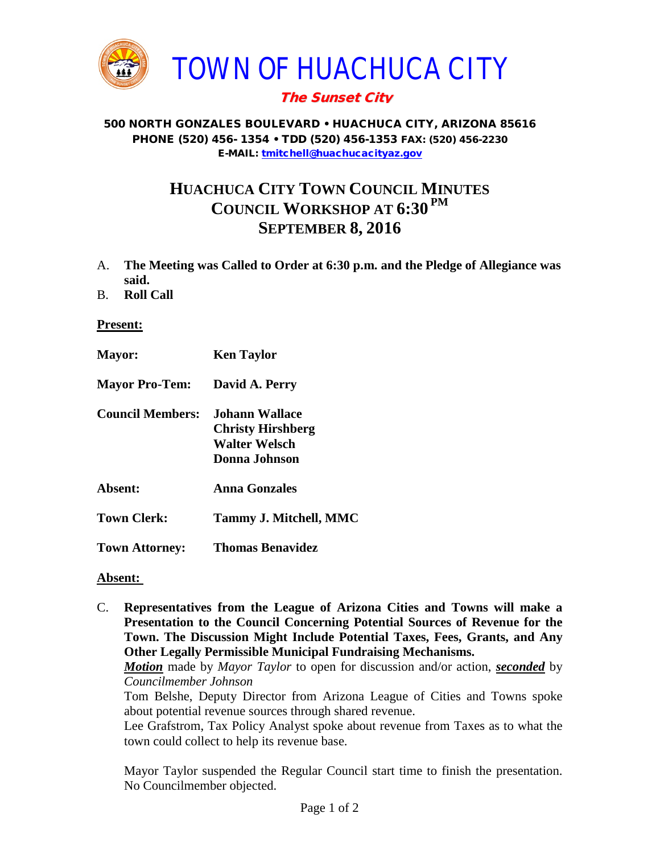

## The Sunset City

#### 500 NORTH GONZALES BOULEVARD • HUACHUCA CITY, ARIZONA 85616 PHONE (520) 456- 1354 • TDD (520) 456-1353 FAX: (520) 456-2230 E-MAIL: [tmitchell@huachucacityaz.gov](mailto:tmitchell@huachucacityaz.gov)

# **HUACHUCA CITY TOWN COUNCIL MINUTES COUNCIL WORKSHOP AT 6:30 PM SEPTEMBER 8, 2016**

- A. **The Meeting was Called to Order at 6:30 p.m. and the Pledge of Allegiance was said.**
- B. **Roll Call**

**Present:**

**Mayor: Ken Taylor Mayor Pro-Tem: David A. Perry Council Members: Johann Wallace Christy Hirshberg Walter Welsch Donna Johnson Absent: Anna Gonzales Town Clerk: Tammy J. Mitchell, MMC Town Attorney: Thomas Benavidez**

#### **Absent:**

C. **Representatives from the League of Arizona Cities and Towns will make a Presentation to the Council Concerning Potential Sources of Revenue for the Town. The Discussion Might Include Potential Taxes, Fees, Grants, and Any Other Legally Permissible Municipal Fundraising Mechanisms.** 

*Motion* made by *Mayor Taylor* to open for discussion and/or action, *seconded* by *Councilmember Johnson*

Tom Belshe, Deputy Director from Arizona League of Cities and Towns spoke about potential revenue sources through shared revenue.

Lee Grafstrom, Tax Policy Analyst spoke about revenue from Taxes as to what the town could collect to help its revenue base.

Mayor Taylor suspended the Regular Council start time to finish the presentation. No Councilmember objected.